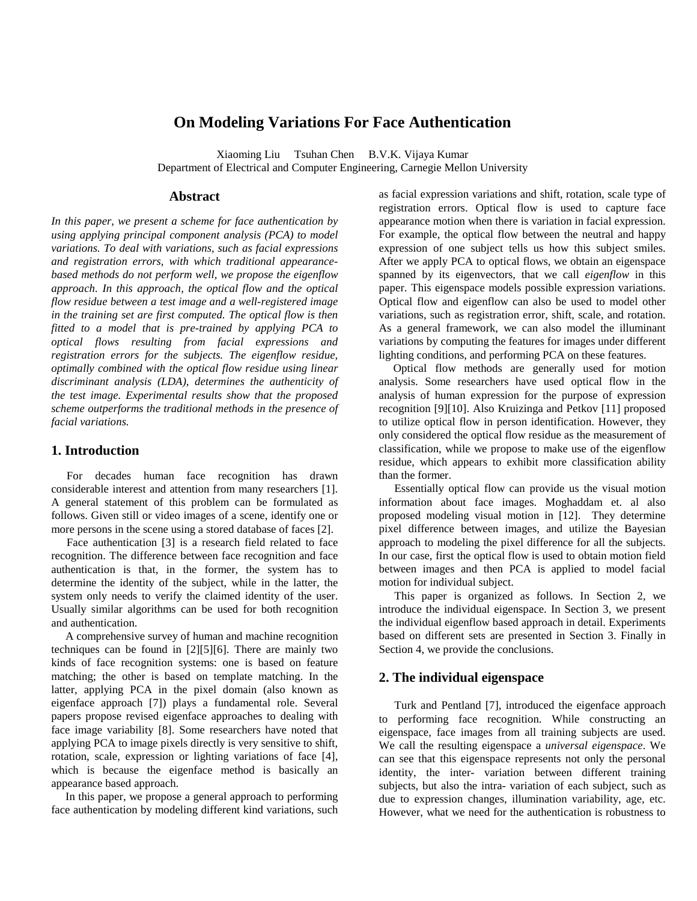# **On Modeling Variations For Face Authentication**

Xiaoming Liu Tsuhan Chen B.V.K. Vijaya Kumar

Department of Electrical and Computer Engineering, Carnegie Mellon University

### **Abstract**

*In this paper, we present a scheme for face authentication by using applying principal component analysis (PCA) to model variations. To deal with variations, such as facial expressions and registration errors, with which traditional appearancebased methods do not perform well, we propose the eigenflow approach. In this approach, the optical flow and the optical flow residue between a test image and a well-registered image in the training set are first computed. The optical flow is then fitted to a model that is pre-trained by applying PCA to optical flows resulting from facial expressions and registration errors for the subjects. The eigenflow residue, optimally combined with the optical flow residue using linear discriminant analysis (LDA), determines the authenticity of the test image. Experimental results show that the proposed scheme outperforms the traditional methods in the presence of facial variations.*

### **1. Introduction**

For decades human face recognition has drawn considerable interest and attention from many researchers [1]. A general statement of this problem can be formulated as follows. Given still or video images of a scene, identify one or more persons in the scene using a stored database of faces [2].

Face authentication [3] is a research field related to face recognition. The difference between face recognition and face authentication is that, in the former, the system has to determine the identity of the subject, while in the latter, the system only needs to verify the claimed identity of the user. Usually similar algorithms can be used for both recognition and authentication.

A comprehensive survey of human and machine recognition techniques can be found in [2][5][6]. There are mainly two kinds of face recognition systems: one is based on feature matching; the other is based on template matching. In the latter, applying PCA in the pixel domain (also known as eigenface approach [7]) plays a fundamental role. Several papers propose revised eigenface approaches to dealing with face image variability [8]. Some researchers have noted that applying PCA to image pixels directly is very sensitive to shift, rotation, scale, expression or lighting variations of face [4], which is because the eigenface method is basically an appearance based approach.

In this paper, we propose a general approach to performing face authentication by modeling different kind variations, such as facial expression variations and shift, rotation, scale type of registration errors. Optical flow is used to capture face appearance motion when there is variation in facial expression. For example, the optical flow between the neutral and happy expression of one subject tells us how this subject smiles. After we apply PCA to optical flows, we obtain an eigenspace spanned by its eigenvectors, that we call *eigenflow* in this paper. This eigenspace models possible expression variations. Optical flow and eigenflow can also be used to model other variations, such as registration error, shift, scale, and rotation. As a general framework, we can also model the illuminant variations by computing the features for images under different lighting conditions, and performing PCA on these features.

Optical flow methods are generally used for motion analysis. Some researchers have used optical flow in the analysis of human expression for the purpose of expression recognition [9][10]. Also Kruizinga and Petkov [11] proposed to utilize optical flow in person identification. However, they only considered the optical flow residue as the measurement of classification, while we propose to make use of the eigenflow residue, which appears to exhibit more classification ability than the former.

Essentially optical flow can provide us the visual motion information about face images. Moghaddam et. al also proposed modeling visual motion in [12]. They determine pixel difference between images, and utilize the Bayesian approach to modeling the pixel difference for all the subjects. In our case, first the optical flow is used to obtain motion field between images and then PCA is applied to model facial motion for individual subject.

This paper is organized as follows. In Section 2, we introduce the individual eigenspace. In Section 3, we present the individual eigenflow based approach in detail. Experiments based on different sets are presented in Section 3. Finally in Section 4, we provide the conclusions.

## **2. The individual eigenspace**

Turk and Pentland [7], introduced the eigenface approach to performing face recognition. While constructing an eigenspace, face images from all training subjects are used. We call the resulting eigenspace a *universal eigenspace*. We can see that this eigenspace represents not only the personal identity, the inter- variation between different training subjects, but also the intra- variation of each subject, such as due to expression changes, illumination variability, age, etc. However, what we need for the authentication is robustness to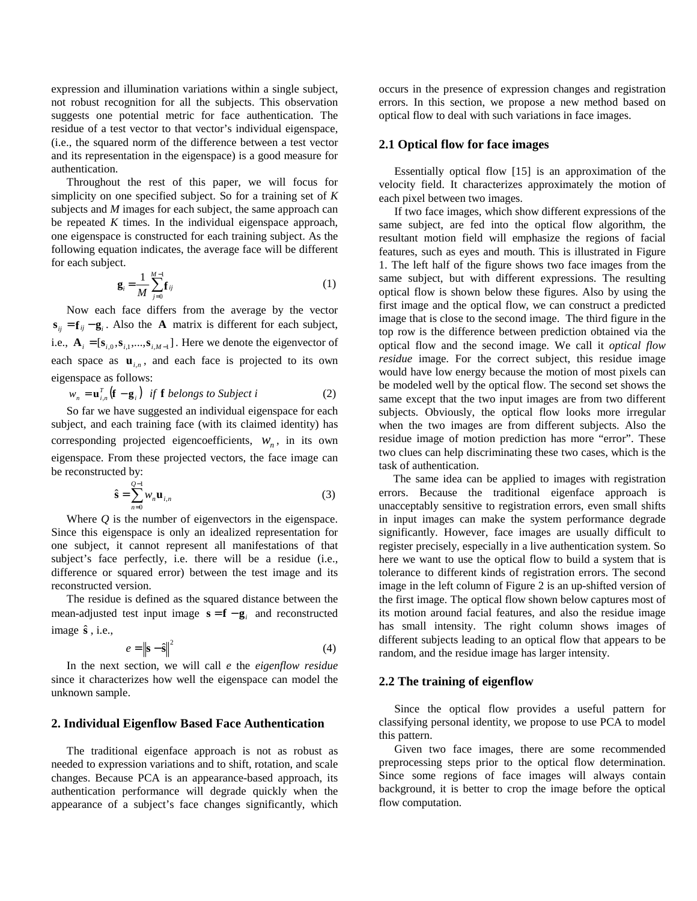expression and illumination variations within a single subject, not robust recognition for all the subjects. This observation suggests one potential metric for face authentication. The residue of a test vector to that vector's individual eigenspace, (i.e., the squared norm of the difference between a test vector and its representation in the eigenspace) is a good measure for authentication.

Throughout the rest of this paper, we will focus for simplicity on one specified subject. So for a training set of *K* subjects and *M* images for each subject, the same approach can be repeated *K* times. In the individual eigenspace approach, one eigenspace is constructed for each training subject. As the following equation indicates, the average face will be different for each subject.

$$
\mathbf{g}_{i} = \frac{1}{M} \sum_{j=0}^{M-1} \mathbf{f}_{ij}
$$
 (1)

Now each face differs from the average by the vector  $\mathbf{s}_{ii} = \mathbf{f}_{ii} - \mathbf{g}_{i}$ . Also the **A** matrix is different for each subject, i.e.,  $\mathbf{A}_i = [\mathbf{s}_{i,0}, \mathbf{s}_{i,1},...,\mathbf{s}_{i,M-1}]$ . Here we denote the eigenvector of each space as  $\mathbf{u}_{i,n}$ , and each face is projected to its own eigenspace as follows:

$$
w_n = \mathbf{u}_{i,n}^T \left( \mathbf{f} - \mathbf{g}_i \right) \text{ if } \mathbf{f} \text{ belongs to Subject } i \tag{2}
$$

So far we have suggested an individual eigenspace for each subject, and each training face (with its claimed identity) has corresponding projected eigencoefficients,  $W_n$ , in its own eigenspace. From these projected vectors, the face image can be reconstructed by:

$$
\hat{\mathbf{s}} = \sum_{n=0}^{Q-1} w_n \mathbf{u}_{i,n} \tag{3}
$$

Where *Q* is the number of eigenvectors in the eigenspace. Since this eigenspace is only an idealized representation for one subject, it cannot represent all manifestations of that subject's face perfectly, i.e. there will be a residue (i.e., difference or squared error) between the test image and its reconstructed version.

The residue is defined as the squared distance between the mean-adjusted test input image  $\mathbf{s} = \mathbf{f} - \mathbf{g}_i$  and reconstructed image **s**ˆ , i.e.,

$$
e = \left\| \mathbf{s} - \hat{\mathbf{s}} \right\|^2 \tag{4}
$$

In the next section, we will call *e* the *eigenflow residue* since it characterizes how well the eigenspace can model the unknown sample.

#### **2. Individual Eigenflow Based Face Authentication**

The traditional eigenface approach is not as robust as needed to expression variations and to shift, rotation, and scale changes. Because PCA is an appearance-based approach, its authentication performance will degrade quickly when the appearance of a subject's face changes significantly, which occurs in the presence of expression changes and registration errors. In this section, we propose a new method based on optical flow to deal with such variations in face images.

#### **2.1 Optical flow for face images**

Essentially optical flow [15] is an approximation of the velocity field. It characterizes approximately the motion of each pixel between two images.

If two face images, which show different expressions of the same subject, are fed into the optical flow algorithm, the resultant motion field will emphasize the regions of facial features, such as eyes and mouth. This is illustrated in Figure 1. The left half of the figure shows two face images from the same subject, but with different expressions. The resulting optical flow is shown below these figures. Also by using the first image and the optical flow, we can construct a predicted image that is close to the second image. The third figure in the top row is the difference between prediction obtained via the optical flow and the second image. We call it *optical flow residue* image. For the correct subject, this residue image would have low energy because the motion of most pixels can be modeled well by the optical flow. The second set shows the same except that the two input images are from two different subjects. Obviously, the optical flow looks more irregular when the two images are from different subjects. Also the residue image of motion prediction has more "error". These two clues can help discriminating these two cases, which is the task of authentication.

The same idea can be applied to images with registration errors. Because the traditional eigenface approach is unacceptably sensitive to registration errors, even small shifts in input images can make the system performance degrade significantly. However, face images are usually difficult to register precisely, especially in a live authentication system. So here we want to use the optical flow to build a system that is tolerance to different kinds of registration errors. The second image in the left column of Figure 2 is an up-shifted version of the first image. The optical flow shown below captures most of its motion around facial features, and also the residue image has small intensity. The right column shows images of different subjects leading to an optical flow that appears to be random, and the residue image has larger intensity.

#### **2.2 The training of eigenflow**

Since the optical flow provides a useful pattern for classifying personal identity, we propose to use PCA to model this pattern.

Given two face images, there are some recommended preprocessing steps prior to the optical flow determination. Since some regions of face images will always contain background, it is better to crop the image before the optical flow computation.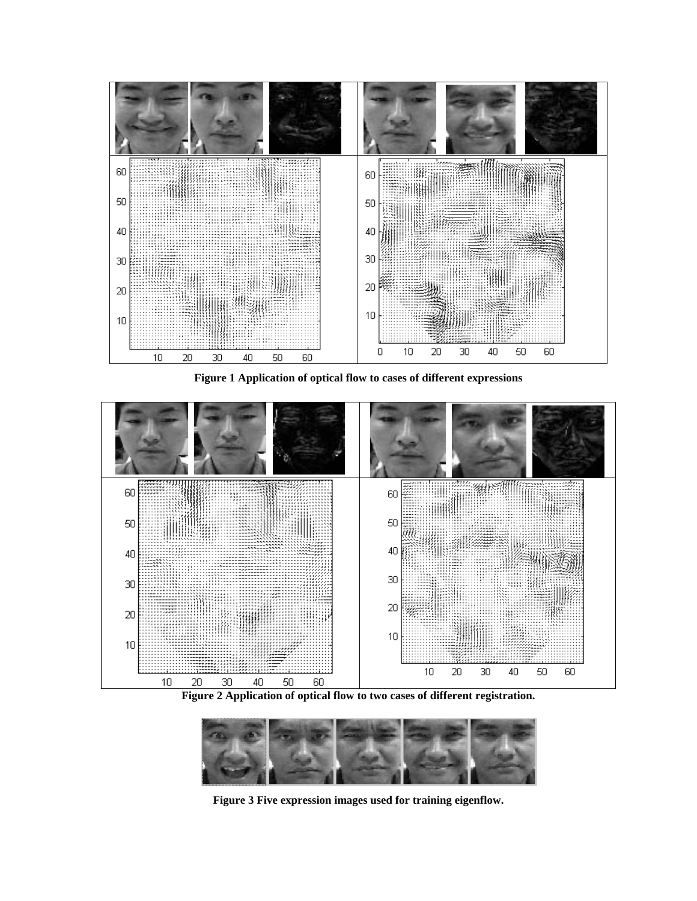

**Figure 1 Application of optical flow to cases of different expressions**



**Figure 2 Application of optical flow to two cases of different registration.**



**Figure 3 Five expression images used for training eigenflow.**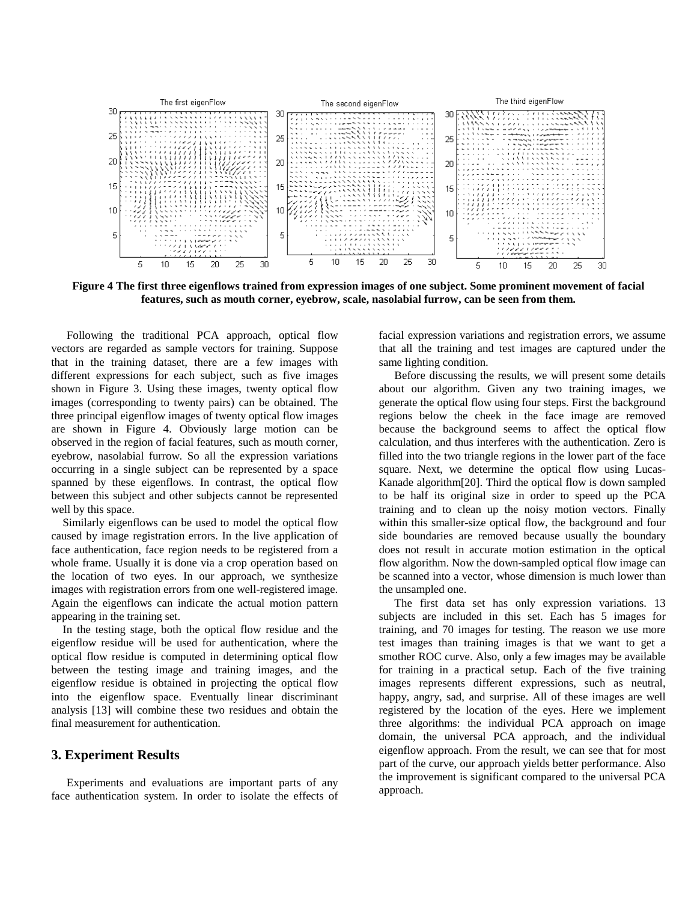

**Figure 4 The first three eigenflows trained from expression images of one subject. Some prominent movement of facial features, such as mouth corner, eyebrow, scale, nasolabial furrow, can be seen from them.**

Following the traditional PCA approach, optical flow vectors are regarded as sample vectors for training. Suppose that in the training dataset, there are a few images with different expressions for each subject, such as five images shown in Figure 3. Using these images, twenty optical flow images (corresponding to twenty pairs) can be obtained. The three principal eigenflow images of twenty optical flow images are shown in Figure 4. Obviously large motion can be observed in the region of facial features, such as mouth corner, eyebrow, nasolabial furrow. So all the expression variations occurring in a single subject can be represented by a space spanned by these eigenflows. In contrast, the optical flow between this subject and other subjects cannot be represented well by this space.

Similarly eigenflows can be used to model the optical flow caused by image registration errors. In the live application of face authentication, face region needs to be registered from a whole frame. Usually it is done via a crop operation based on the location of two eyes. In our approach, we synthesize images with registration errors from one well-registered image. Again the eigenflows can indicate the actual motion pattern appearing in the training set.

In the testing stage, both the optical flow residue and the eigenflow residue will be used for authentication, where the optical flow residue is computed in determining optical flow between the testing image and training images, and the eigenflow residue is obtained in projecting the optical flow into the eigenflow space. Eventually linear discriminant analysis [13] will combine these two residues and obtain the final measurement for authentication.

### **3. Experiment Results**

Experiments and evaluations are important parts of any face authentication system. In order to isolate the effects of facial expression variations and registration errors, we assume that all the training and test images are captured under the same lighting condition.

Before discussing the results, we will present some details about our algorithm. Given any two training images, we generate the optical flow using four steps. First the background regions below the cheek in the face image are removed because the background seems to affect the optical flow calculation, and thus interferes with the authentication. Zero is filled into the two triangle regions in the lower part of the face square. Next, we determine the optical flow using Lucas-Kanade algorithm[20]. Third the optical flow is down sampled to be half its original size in order to speed up the PCA training and to clean up the noisy motion vectors. Finally within this smaller-size optical flow, the background and four side boundaries are removed because usually the boundary does not result in accurate motion estimation in the optical flow algorithm. Now the down-sampled optical flow image can be scanned into a vector, whose dimension is much lower than the unsampled one.

The first data set has only expression variations. 13 subjects are included in this set. Each has 5 images for training, and 70 images for testing. The reason we use more test images than training images is that we want to get a smother ROC curve. Also, only a few images may be available for training in a practical setup. Each of the five training images represents different expressions, such as neutral, happy, angry, sad, and surprise. All of these images are well registered by the location of the eyes. Here we implement three algorithms: the individual PCA approach on image domain, the universal PCA approach, and the individual eigenflow approach. From the result, we can see that for most part of the curve, our approach yields better performance. Also the improvement is significant compared to the universal PCA approach.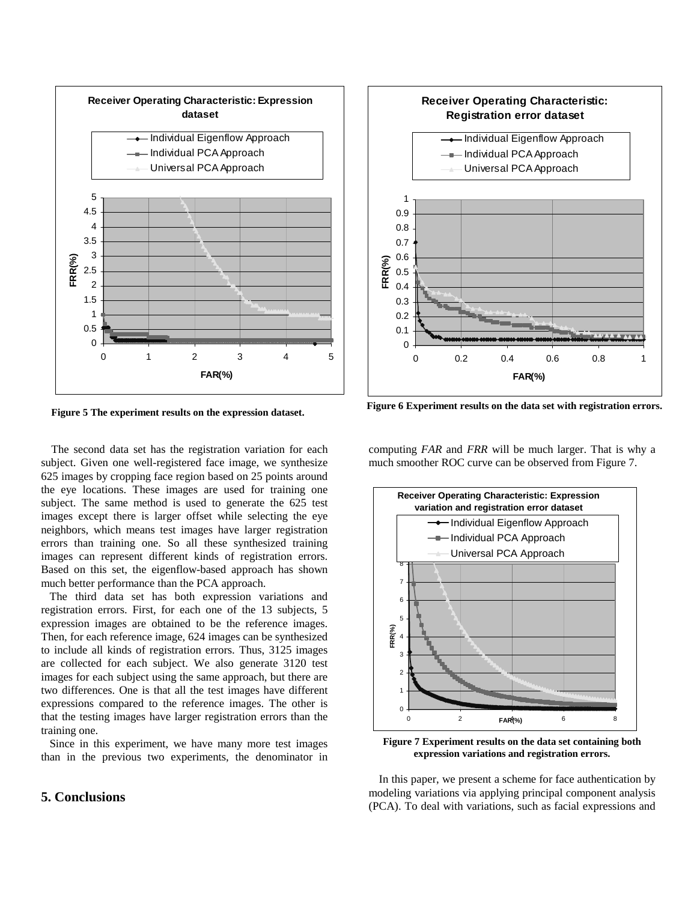

The second data set has the registration variation for each subject. Given one well-registered face image, we synthesize 625 images by cropping face region based on 25 points around the eye locations. These images are used for training one subject. The same method is used to generate the 625 test images except there is larger offset while selecting the eye neighbors, which means test images have larger registration errors than training one. So all these synthesized training images can represent different kinds of registration errors. Based on this set, the eigenflow-based approach has shown much better performance than the PCA approach.

The third data set has both expression variations and registration errors. First, for each one of the 13 subjects, 5 expression images are obtained to be the reference images. Then, for each reference image, 624 images can be synthesized to include all kinds of registration errors. Thus, 3125 images are collected for each subject. We also generate 3120 test images for each subject using the same approach, but there are two differences. One is that all the test images have different expressions compared to the reference images. The other is that the testing images have larger registration errors than the training one.

Since in this experiment, we have many more test images than in the previous two experiments, the denominator in

## **5. Conclusions**



**Figure 5 The experiment results on the expression dataset. Figure 6 Experiment results on the data set with registration errors.**

computing *FAR* and *FRR* will be much larger. That is why a much smoother ROC curve can be observed from Figure 7.



**Figure 7 Experiment results on the data set containing both expression variations and registration errors.**

In this paper, we present a scheme for face authentication by modeling variations via applying principal component analysis (PCA). To deal with variations, such as facial expressions and